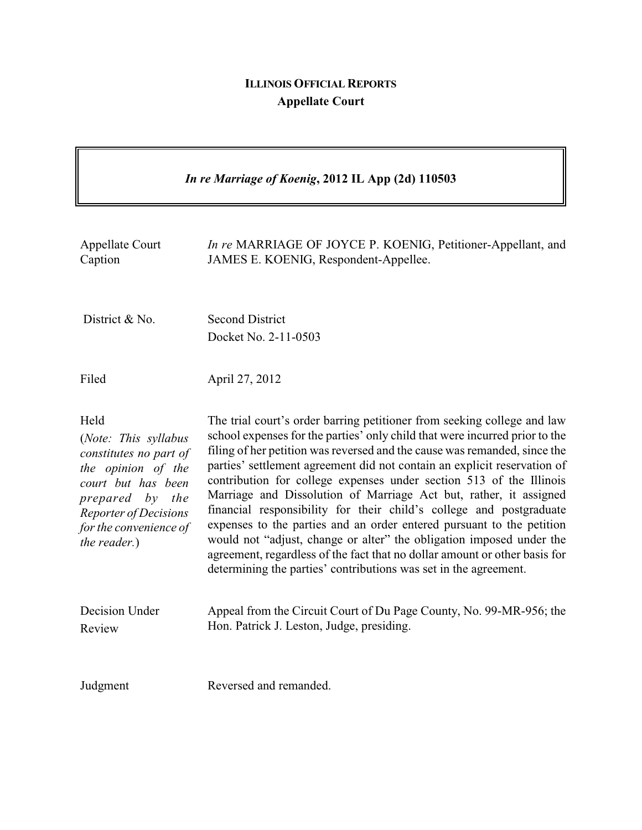## **ILLINOIS OFFICIAL REPORTS Appellate Court**

 $\overline{\mathbf{1}}$ 

 $\overline{\Gamma}$ 

| In re Marriage of Koenig, 2012 IL App (2d) 110503                                                                                                                                        |                                                                                                                                                                                                                                                                                                                                                                                                                                                                                                                                                                                                                                                                                                                                                                                                                                       |
|------------------------------------------------------------------------------------------------------------------------------------------------------------------------------------------|---------------------------------------------------------------------------------------------------------------------------------------------------------------------------------------------------------------------------------------------------------------------------------------------------------------------------------------------------------------------------------------------------------------------------------------------------------------------------------------------------------------------------------------------------------------------------------------------------------------------------------------------------------------------------------------------------------------------------------------------------------------------------------------------------------------------------------------|
| Appellate Court<br>Caption                                                                                                                                                               | In re MARRIAGE OF JOYCE P. KOENIG, Petitioner-Appellant, and<br>JAMES E. KOENIG, Respondent-Appellee.                                                                                                                                                                                                                                                                                                                                                                                                                                                                                                                                                                                                                                                                                                                                 |
| District & No.                                                                                                                                                                           | <b>Second District</b><br>Docket No. 2-11-0503                                                                                                                                                                                                                                                                                                                                                                                                                                                                                                                                                                                                                                                                                                                                                                                        |
| Filed                                                                                                                                                                                    | April 27, 2012                                                                                                                                                                                                                                                                                                                                                                                                                                                                                                                                                                                                                                                                                                                                                                                                                        |
| Held<br>(Note: This syllabus<br>constitutes no part of<br>the opinion of the<br>court but has been<br>prepared by the<br>Reporter of Decisions<br>for the convenience of<br>the reader.) | The trial court's order barring petitioner from seeking college and law<br>school expenses for the parties' only child that were incurred prior to the<br>filing of her petition was reversed and the cause was remanded, since the<br>parties' settlement agreement did not contain an explicit reservation of<br>contribution for college expenses under section 513 of the Illinois<br>Marriage and Dissolution of Marriage Act but, rather, it assigned<br>financial responsibility for their child's college and postgraduate<br>expenses to the parties and an order entered pursuant to the petition<br>would not "adjust, change or alter" the obligation imposed under the<br>agreement, regardless of the fact that no dollar amount or other basis for<br>determining the parties' contributions was set in the agreement. |
| Decision Under<br>Review                                                                                                                                                                 | Appeal from the Circuit Court of Du Page County, No. 99-MR-956; the<br>Hon. Patrick J. Leston, Judge, presiding.                                                                                                                                                                                                                                                                                                                                                                                                                                                                                                                                                                                                                                                                                                                      |
| Judgment                                                                                                                                                                                 | Reversed and remanded.                                                                                                                                                                                                                                                                                                                                                                                                                                                                                                                                                                                                                                                                                                                                                                                                                |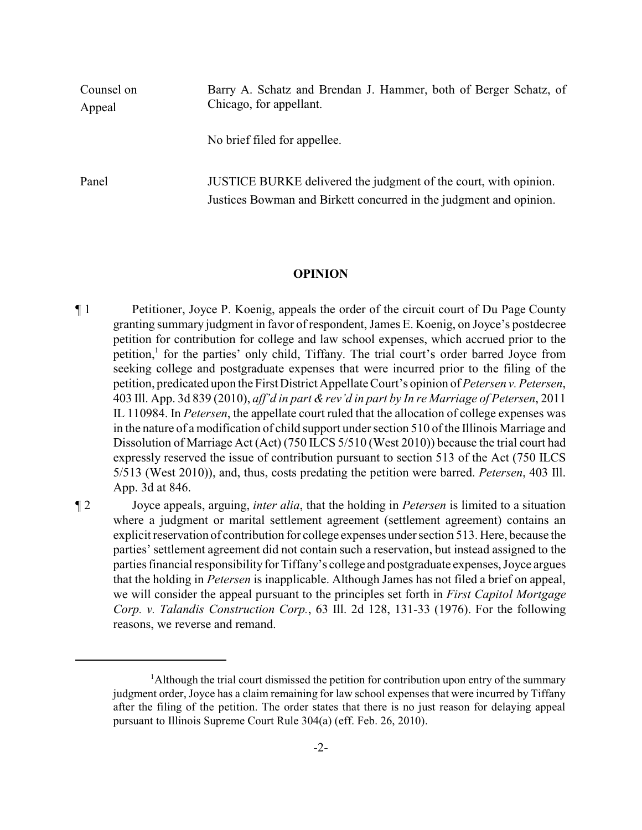| Counsel on<br>Appeal | Barry A. Schatz and Brendan J. Hammer, both of Berger Schatz, of<br>Chicago, for appellant.                                            |
|----------------------|----------------------------------------------------------------------------------------------------------------------------------------|
|                      | No brief filed for appellee.                                                                                                           |
| Panel                | JUSTICE BURKE delivered the judgment of the court, with opinion.<br>Justices Bowman and Birkett concurred in the judgment and opinion. |

## **OPINION**

¶ 1 Petitioner, Joyce P. Koenig, appeals the order of the circuit court of Du Page County granting summary judgment in favor of respondent, James E. Koenig, on Joyce's postdecree petition for contribution for college and law school expenses, which accrued prior to the petition,<sup>1</sup> for the parties' only child, Tiffany. The trial court's order barred Joyce from seeking college and postgraduate expenses that were incurred prior to the filing of the petition, predicated upon the First District Appellate Court's opinion of *Petersen v. Petersen*, 403 Ill. App. 3d 839 (2010), *aff'd in part &rev'd in part by In re Marriage of Petersen*, 2011 IL 110984. In *Petersen*, the appellate court ruled that the allocation of college expenses was in the nature of a modification of child support under section 510 of the Illinois Marriage and Dissolution of Marriage Act (Act) (750 ILCS 5/510 (West 2010)) because the trial court had expressly reserved the issue of contribution pursuant to section 513 of the Act (750 ILCS 5/513 (West 2010)), and, thus, costs predating the petition were barred. *Petersen*, 403 Ill. App. 3d at 846.

¶ 2 Joyce appeals, arguing, *inter alia*, that the holding in *Petersen* is limited to a situation where a judgment or marital settlement agreement (settlement agreement) contains an explicit reservation of contribution for college expenses under section 513. Here, because the parties' settlement agreement did not contain such a reservation, but instead assigned to the parties financial responsibility for Tiffany's college and postgraduate expenses, Joyce argues that the holding in *Petersen* is inapplicable. Although James has not filed a brief on appeal, we will consider the appeal pursuant to the principles set forth in *First Capitol Mortgage Corp. v. Talandis Construction Corp.*, 63 Ill. 2d 128, 131-33 (1976). For the following reasons, we reverse and remand.

 $<sup>1</sup>$ Although the trial court dismissed the petition for contribution upon entry of the summary</sup> judgment order, Joyce has a claim remaining for law school expenses that were incurred by Tiffany after the filing of the petition. The order states that there is no just reason for delaying appeal pursuant to Illinois Supreme Court Rule 304(a) (eff. Feb. 26, 2010).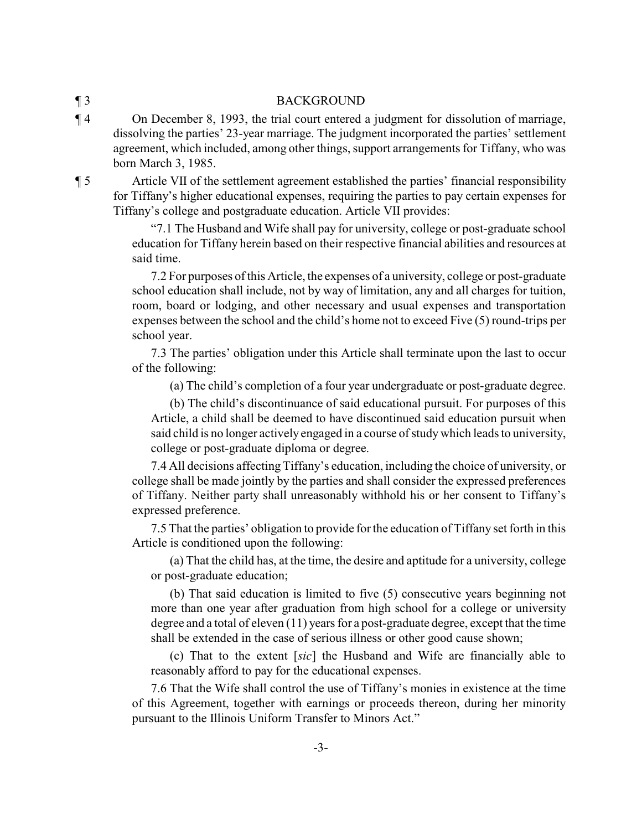## ¶ 3 BACKGROUND

¶ 4 On December 8, 1993, the trial court entered a judgment for dissolution of marriage, dissolving the parties' 23-year marriage. The judgment incorporated the parties' settlement agreement, which included, among other things, support arrangements for Tiffany, who was born March 3, 1985.

¶ 5 Article VII of the settlement agreement established the parties' financial responsibility for Tiffany's higher educational expenses, requiring the parties to pay certain expenses for Tiffany's college and postgraduate education. Article VII provides:

> "7.1 The Husband and Wife shall pay for university, college or post-graduate school education for Tiffany herein based on their respective financial abilities and resources at said time.

> 7.2 For purposes of this Article, the expenses of a university, college or post-graduate school education shall include, not by way of limitation, any and all charges for tuition, room, board or lodging, and other necessary and usual expenses and transportation expenses between the school and the child's home not to exceed Five (5) round-trips per school year.

> 7.3 The parties' obligation under this Article shall terminate upon the last to occur of the following:

(a) The child's completion of a four year undergraduate or post-graduate degree.

(b) The child's discontinuance of said educational pursuit. For purposes of this Article, a child shall be deemed to have discontinued said education pursuit when said child is no longer activelyengaged in a course of studywhich leads to university, college or post-graduate diploma or degree.

7.4 All decisions affecting Tiffany's education, including the choice of university, or college shall be made jointly by the parties and shall consider the expressed preferences of Tiffany. Neither party shall unreasonably withhold his or her consent to Tiffany's expressed preference.

7.5 That the parties' obligation to provide for the education of Tiffany set forth in this Article is conditioned upon the following:

(a) That the child has, at the time, the desire and aptitude for a university, college or post-graduate education;

(b) That said education is limited to five (5) consecutive years beginning not more than one year after graduation from high school for a college or university degree and a total of eleven (11) years for a post-graduate degree, except that the time shall be extended in the case of serious illness or other good cause shown;

(c) That to the extent [*sic*] the Husband and Wife are financially able to reasonably afford to pay for the educational expenses.

7.6 That the Wife shall control the use of Tiffany's monies in existence at the time of this Agreement, together with earnings or proceeds thereon, during her minority pursuant to the Illinois Uniform Transfer to Minors Act."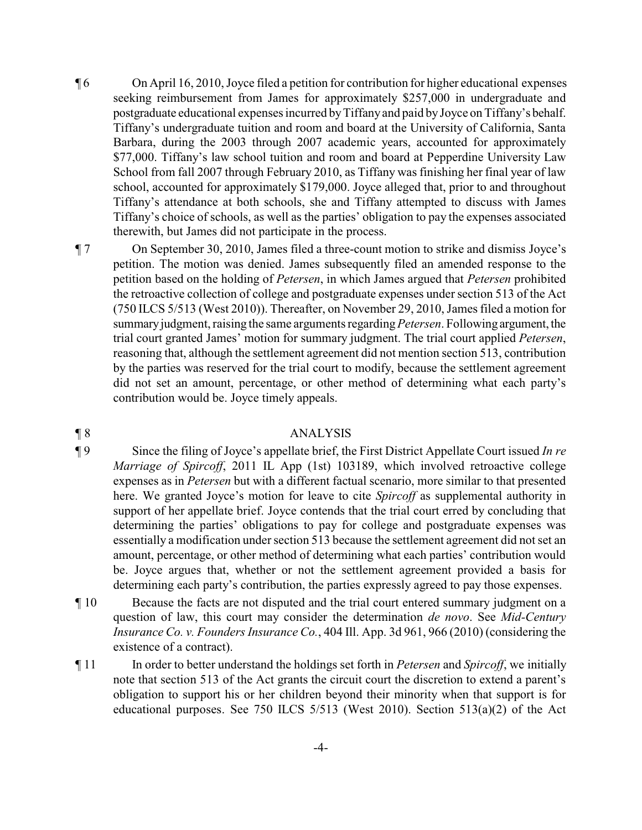- ¶ 6 On April 16, 2010, Joyce filed a petition for contribution for higher educational expenses seeking reimbursement from James for approximately \$257,000 in undergraduate and postgraduate educational expenses incurred byTiffanyand paid byJoyce on Tiffany's behalf. Tiffany's undergraduate tuition and room and board at the University of California, Santa Barbara, during the 2003 through 2007 academic years, accounted for approximately \$77,000. Tiffany's law school tuition and room and board at Pepperdine University Law School from fall 2007 through February 2010, as Tiffany was finishing her final year of law school, accounted for approximately \$179,000. Joyce alleged that, prior to and throughout Tiffany's attendance at both schools, she and Tiffany attempted to discuss with James Tiffany's choice of schools, as well as the parties' obligation to pay the expenses associated therewith, but James did not participate in the process.
- ¶ 7 On September 30, 2010, James filed a three-count motion to strike and dismiss Joyce's petition. The motion was denied. James subsequently filed an amended response to the petition based on the holding of *Petersen*, in which James argued that *Petersen* prohibited the retroactive collection of college and postgraduate expenses under section 513 of the Act (750 ILCS 5/513 (West 2010)). Thereafter, on November 29, 2010, James filed a motion for summary judgment, raising the same arguments regarding *Petersen*. Following argument, the trial court granted James' motion for summary judgment. The trial court applied *Petersen*, reasoning that, although the settlement agreement did not mention section 513, contribution by the parties was reserved for the trial court to modify, because the settlement agreement did not set an amount, percentage, or other method of determining what each party's contribution would be. Joyce timely appeals.

## ¶ 8 ANALYSIS

¶ 9 Since the filing of Joyce's appellate brief, the First District Appellate Court issued *In re Marriage of Spircoff*, 2011 IL App (1st) 103189, which involved retroactive college expenses as in *Petersen* but with a different factual scenario, more similar to that presented here. We granted Joyce's motion for leave to cite *Spircoff* as supplemental authority in support of her appellate brief. Joyce contends that the trial court erred by concluding that determining the parties' obligations to pay for college and postgraduate expenses was essentially a modification under section 513 because the settlement agreement did not set an amount, percentage, or other method of determining what each parties' contribution would be. Joyce argues that, whether or not the settlement agreement provided a basis for determining each party's contribution, the parties expressly agreed to pay those expenses.

- ¶ 10 Because the facts are not disputed and the trial court entered summary judgment on a question of law, this court may consider the determination *de novo*. See *Mid-Century Insurance Co. v. Founders Insurance Co.*, 404 Ill. App. 3d 961, 966 (2010) (considering the existence of a contract).
- ¶ 11 In order to better understand the holdings set forth in *Petersen* and *Spircoff*, we initially note that section 513 of the Act grants the circuit court the discretion to extend a parent's obligation to support his or her children beyond their minority when that support is for educational purposes. See 750 ILCS  $5/513$  (West 2010). Section  $513(a)(2)$  of the Act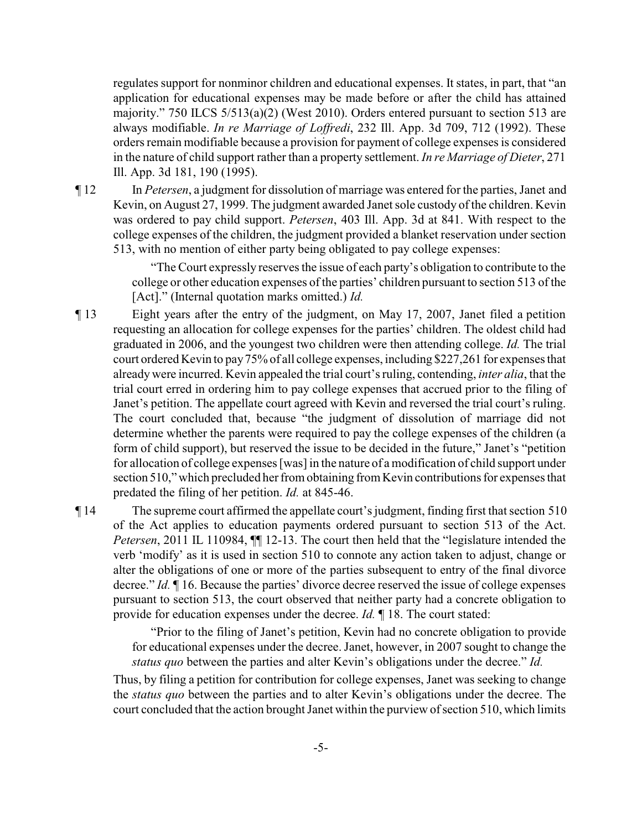regulates support for nonminor children and educational expenses. It states, in part, that "an application for educational expenses may be made before or after the child has attained majority." 750 ILCS 5/513(a)(2) (West 2010). Orders entered pursuant to section 513 are always modifiable. *In re Marriage of Loffredi*, 232 Ill. App. 3d 709, 712 (1992). These orders remain modifiable because a provision for payment of college expenses is considered in the nature of child support rather than a property settlement. *In re Marriage of Dieter*, 271 Ill. App. 3d 181, 190 (1995).

¶ 12 In *Petersen*, a judgment for dissolution of marriage was entered for the parties, Janet and Kevin, on August 27, 1999. The judgment awarded Janet sole custody of the children. Kevin was ordered to pay child support. *Petersen*, 403 Ill. App. 3d at 841. With respect to the college expenses of the children, the judgment provided a blanket reservation under section 513, with no mention of either party being obligated to pay college expenses:

> "The Court expressly reserves the issue of each party's obligation to contribute to the college or other education expenses of the parties' children pursuant to section 513 of the [Act]." (Internal quotation marks omitted.) *Id.*

¶ 13 Eight years after the entry of the judgment, on May 17, 2007, Janet filed a petition requesting an allocation for college expenses for the parties' children. The oldest child had graduated in 2006, and the youngest two children were then attending college. *Id.* The trial court ordered Kevin to pay75% of all college expenses, including \$227,261 for expenses that already were incurred. Kevin appealed the trial court's ruling, contending, *inter alia*, that the trial court erred in ordering him to pay college expenses that accrued prior to the filing of Janet's petition. The appellate court agreed with Kevin and reversed the trial court's ruling. The court concluded that, because "the judgment of dissolution of marriage did not determine whether the parents were required to pay the college expenses of the children (a form of child support), but reserved the issue to be decided in the future," Janet's "petition for allocation of college expenses [was] in the nature of a modification of child support under section 510," which precluded her from obtaining from Kevin contributions for expenses that predated the filing of her petition. *Id.* at 845-46.

¶ 14 The supreme court affirmed the appellate court's judgment, finding first that section 510 of the Act applies to education payments ordered pursuant to section 513 of the Act. *Petersen*, 2011 IL 110984, ¶¶ 12-13. The court then held that the "legislature intended the verb 'modify' as it is used in section 510 to connote any action taken to adjust, change or alter the obligations of one or more of the parties subsequent to entry of the final divorce decree." *Id.* ¶ 16. Because the parties' divorce decree reserved the issue of college expenses pursuant to section 513, the court observed that neither party had a concrete obligation to provide for education expenses under the decree. *Id.* ¶ 18. The court stated:

> "Prior to the filing of Janet's petition, Kevin had no concrete obligation to provide for educational expenses under the decree. Janet, however, in 2007 sought to change the *status quo* between the parties and alter Kevin's obligations under the decree." *Id.*

Thus, by filing a petition for contribution for college expenses, Janet was seeking to change the *status quo* between the parties and to alter Kevin's obligations under the decree. The court concluded that the action brought Janet within the purview of section 510, which limits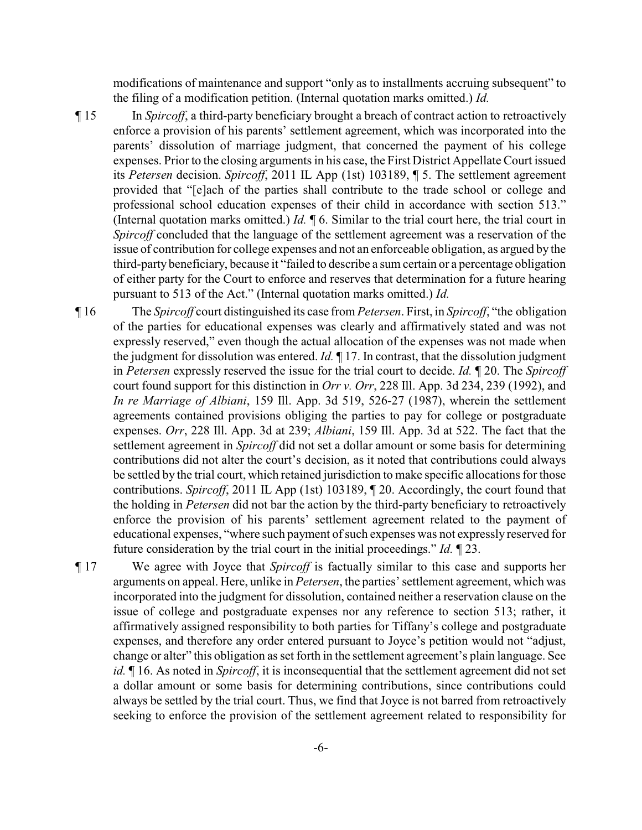modifications of maintenance and support "only as to installments accruing subsequent" to the filing of a modification petition. (Internal quotation marks omitted.) *Id.*

¶ 15 In *Spircoff*, a third-party beneficiary brought a breach of contract action to retroactively enforce a provision of his parents' settlement agreement, which was incorporated into the parents' dissolution of marriage judgment, that concerned the payment of his college expenses. Prior to the closing arguments in his case, the First District Appellate Court issued its *Petersen* decision. *Spircoff*, 2011 IL App (1st) 103189, ¶ 5. The settlement agreement provided that "[e]ach of the parties shall contribute to the trade school or college and professional school education expenses of their child in accordance with section 513." (Internal quotation marks omitted.) *Id.* ¶ 6. Similar to the trial court here, the trial court in *Spircoff* concluded that the language of the settlement agreement was a reservation of the issue of contribution for college expenses and not an enforceable obligation, as argued by the third-party beneficiary, because it "failed to describe a sum certain or a percentage obligation of either party for the Court to enforce and reserves that determination for a future hearing pursuant to 513 of the Act." (Internal quotation marks omitted.) *Id.*

- ¶ 16 The *Spircoff* court distinguished its case from *Petersen*. First, in *Spircoff*, "the obligation of the parties for educational expenses was clearly and affirmatively stated and was not expressly reserved," even though the actual allocation of the expenses was not made when the judgment for dissolution was entered. *Id.* ¶ 17. In contrast, that the dissolution judgment in *Petersen* expressly reserved the issue for the trial court to decide. *Id.* ¶ 20. The *Spircoff* court found support for this distinction in *Orr v. Orr*, 228 Ill. App. 3d 234, 239 (1992), and *In re Marriage of Albiani*, 159 Ill. App. 3d 519, 526-27 (1987), wherein the settlement agreements contained provisions obliging the parties to pay for college or postgraduate expenses. *Orr*, 228 Ill. App. 3d at 239; *Albiani*, 159 Ill. App. 3d at 522. The fact that the settlement agreement in *Spircoff* did not set a dollar amount or some basis for determining contributions did not alter the court's decision, as it noted that contributions could always be settled by the trial court, which retained jurisdiction to make specific allocations for those contributions. *Spircoff*, 2011 IL App (1st) 103189, ¶ 20. Accordingly, the court found that the holding in *Petersen* did not bar the action by the third-party beneficiary to retroactively enforce the provision of his parents' settlement agreement related to the payment of educational expenses, "where such payment of such expenses was not expressly reserved for future consideration by the trial court in the initial proceedings." *Id.* ¶ 23.
- ¶ 17 We agree with Joyce that *Spircoff* is factually similar to this case and supports her arguments on appeal. Here, unlike in *Petersen*, the parties'settlement agreement, which was incorporated into the judgment for dissolution, contained neither a reservation clause on the issue of college and postgraduate expenses nor any reference to section 513; rather, it affirmatively assigned responsibility to both parties for Tiffany's college and postgraduate expenses, and therefore any order entered pursuant to Joyce's petition would not "adjust, change or alter" this obligation as set forth in the settlement agreement's plain language. See *id.* ¶ 16. As noted in *Spircoff*, it is inconsequential that the settlement agreement did not set a dollar amount or some basis for determining contributions, since contributions could always be settled by the trial court. Thus, we find that Joyce is not barred from retroactively seeking to enforce the provision of the settlement agreement related to responsibility for